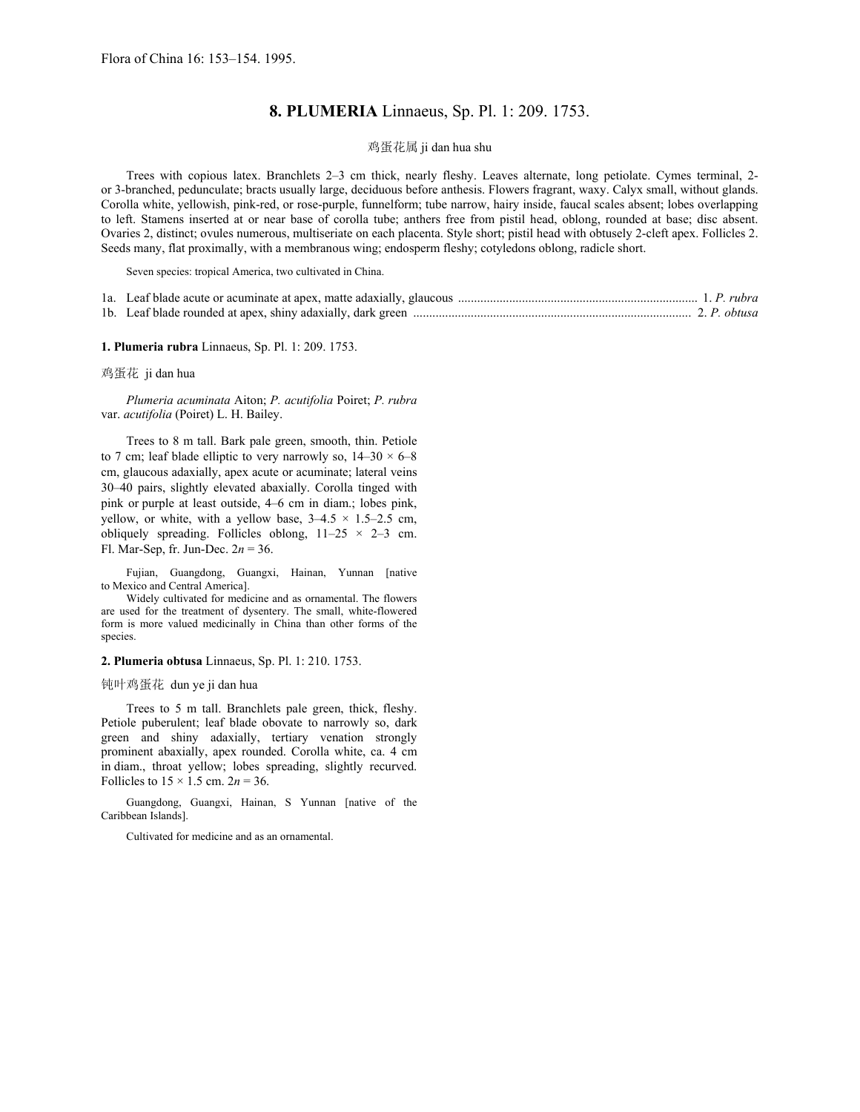## **8. PLUMERIA** Linnaeus, Sp. Pl. 1: 209. 1753.

## 鸡蛋花属 ji dan hua shu

Trees with copious latex. Branchlets 2*–*3 cm thick, nearly fleshy. Leaves alternate, long petiolate. Cymes terminal, 2 or 3-branched, pedunculate; bracts usually large, deciduous before anthesis. Flowers fragrant, waxy. Calyx small, without glands. Corolla white, yellowish, pink-red, or rose-purple, funnelform; tube narrow, hairy inside, faucal scales absent; lobes overlapping to left. Stamens inserted at or near base of corolla tube; anthers free from pistil head, oblong, rounded at base; disc absent. Ovaries 2, distinct; ovules numerous, multiseriate on each placenta. Style short; pistil head with obtusely 2-cleft apex. Follicles 2. Seeds many, flat proximally, with a membranous wing; endosperm fleshy; cotyledons oblong, radicle short.

Seven species: tropical America, two cultivated in China.

| 1. P. rubra 1. P. rubra 1. P. rubra 1. P. rubra 1. P. rubra 1. P. rubra 1. P. rubra 1. P. rubra |  |  |
|-------------------------------------------------------------------------------------------------|--|--|
|                                                                                                 |  |  |

**1. Plumeria rubra** Linnaeus, Sp. Pl. 1: 209. 1753.

鸡蛋花 ji dan hua

*Plumeria acuminata* Aiton; *P. acutifolia* Poiret; *P. rubra* var. *acutifolia* (Poiret) L. H. Bailey.

Trees to 8 m tall. Bark pale green, smooth, thin. Petiole to 7 cm; leaf blade elliptic to very narrowly so, 14*–*30 × 6*–*8 cm, glaucous adaxially, apex acute or acuminate; lateral veins 30*–*40 pairs, slightly elevated abaxially. Corolla tinged with pink or purple at least outside, 4*–*6 cm in diam.; lobes pink, yellow, or white, with a yellow base, 3*–*4.5 × 1.5*–*2.5 cm, obliquely spreading. Follicles oblong, 11*–*25 × 2*–*3 cm. Fl. Mar-Sep, fr. Jun-Dec. 2*n* = 36.

Fujian, Guangdong, Guangxi, Hainan, Yunnan [native to Mexico and Central America].

Widely cultivated for medicine and as ornamental. The flowers are used for the treatment of dysentery. The small, white-flowered form is more valued medicinally in China than other forms of the species.

**2. Plumeria obtusa** Linnaeus, Sp. Pl. 1: 210. 1753.

钝叶鸡蛋花 dun ye ji dan hua

Trees to 5 m tall. Branchlets pale green, thick, fleshy. Petiole puberulent; leaf blade obovate to narrowly so, dark green and shiny adaxially, tertiary venation strongly prominent abaxially, apex rounded. Corolla white, ca. 4 cm in diam., throat yellow; lobes spreading, slightly recurved. Follicles to  $15 \times 1.5$  cm.  $2n = 36$ .

Guangdong, Guangxi, Hainan, S Yunnan [native of the Caribbean Islands].

Cultivated for medicine and as an ornamental.